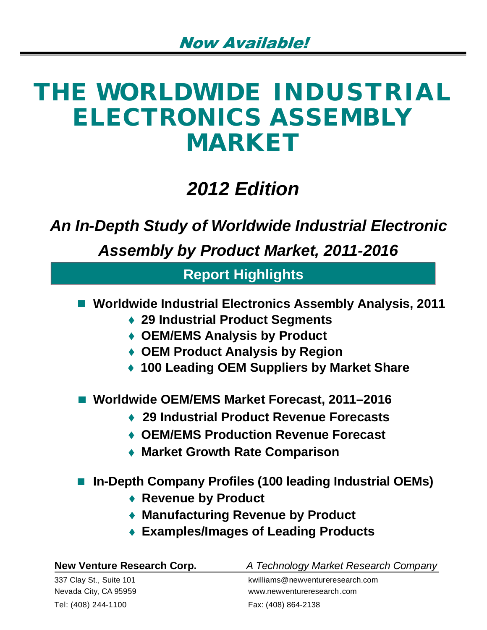# **THE WORLDWIDE INDUSTRIAL ELECTRONICS ASSEMBLY MARKET**

## *2012 Edition*

*An In-Depth Study of Worldwide Industrial Electronic*

*Assembly by Product Market, 2011-2016*

**Report Highlights**

- Worldwide Industrial Electronics Assembly Analysis, 2011
	- **29 Industrial Product Segments**
	- **OEM/EMS Analysis by Product**
	- **OEM Product Analysis by Region**
	- **100 Leading OEM Suppliers by Market Share**

■ Worldwide OEM/EMS Market Forecast, 2011–2016

- **29 Industrial Product Revenue Forecasts**
- **OEM/EMS Production Revenue Forecast**
- **Market Growth Rate Comparison**
- **In-Depth Company Profiles (100 leading Industrial OEMs)**
	- **Revenue by Product**
	- **Manufacturing Revenue by Product**
	- **Examples/Images of Leading Products**

| New Venture Research Corp. | A Technology Market Research Company |
|----------------------------|--------------------------------------|
| 337 Clay St., Suite 101    | kwilliams@newventureresearch.com     |
| Nevada City, CA 95959      | www.newventureresearch.com           |
| Tel: (408) 244-1100        | Fax: (408) 864-2138                  |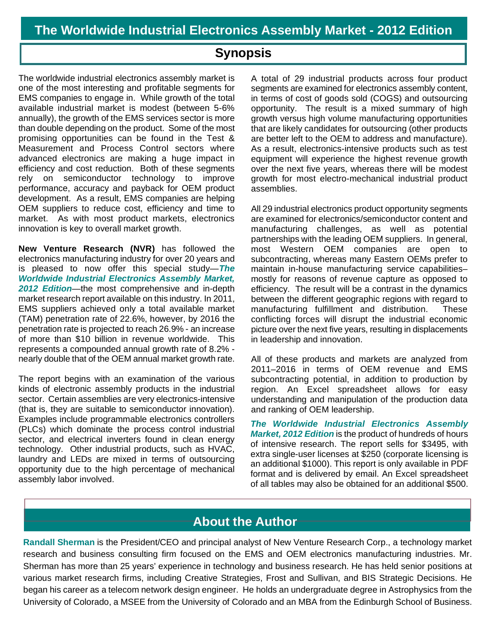## **Synopsis**

The worldwide industrial electronics assembly market is one of the most interesting and profitable segments for EMS companies to engage in. While growth of the total available industrial market is modest (between 5-6% annually), the growth of the EMS services sector is more than double depending on the product. Some of the most promising opportunities can be found in the Test & Measurement and Process Control sectors where advanced electronics are making a huge impact in efficiency and cost reduction. Both of these segments rely on semiconductor technology to improve performance, accuracy and payback for OEM product development. As a result, EMS companies are helping OEM suppliers to reduce cost, efficiency and time to market. As with most product markets, electronics innovation is key to overall market growth.

**New Venture Research (NVR)** has followed the electronics manufacturing industry for over 20 years and is pleased to now offer this special study—*The Worldwide Industrial Electronics Assembly Market, 2012 Edition*—the most comprehensive and in-depth market research report available on this industry. In 2011, EMS suppliers achieved only a total available market (TAM) penetration rate of 22.6%, however, by 2016 the penetration rate is projected to reach 26.9% - an increase of more than \$10 billion in revenue worldwide. This represents a compounded annual growth rate of 8.2% nearly double that of the OEM annual market growth rate.

The report begins with an examination of the various kinds of electronic assembly products in the industrial sector. Certain assemblies are very electronics-intensive (that is, they are suitable to semiconductor innovation). Examples include programmable electronics controllers (PLCs) which dominate the process control industrial sector, and electrical inverters found in clean energy technology. Other industrial products, such as HVAC, laundry and LEDs are mixed in terms of outsourcing opportunity due to the high percentage of mechanical assembly labor involved.

A total of 29 industrial products across four product segments are examined for electronics assembly content, in terms of cost of goods sold (COGS) and outsourcing opportunity. The result is a mixed summary of high growth versus high volume manufacturing opportunities that are likely candidates for outsourcing (other products are better left to the OEM to address and manufacture). As a result, electronics-intensive products such as test equipment will experience the highest revenue growth over the next five years, whereas there will be modest growth for most electro-mechanical industrial product assemblies.

All 29 industrial electronics product opportunity segments are examined for electronics/semiconductor content and manufacturing challenges, as well as potential partnerships with the leading OEM suppliers. In general, most Western OEM companies are open to subcontracting, whereas many Eastern OEMs prefer to maintain in-house manufacturing service capabilities– mostly for reasons of revenue capture as opposed to efficiency. The result will be a contrast in the dynamics between the different geographic regions with regard to manufacturing fulfillment and distribution. These conflicting forces will disrupt the industrial economic picture over the next five years, resulting in displacements in leadership and innovation.

All of these products and markets are analyzed from 2011–2016 in terms of OEM revenue and EMS subcontracting potential, in addition to production by region. An Excel spreadsheet allows for easy understanding and manipulation of the production data and ranking of OEM leadership.

*The Worldwide Industrial Electronics Assembly Market, 2012 Edition* is the product of hundreds of hours of intensive research. The report sells for \$3495, with extra single-user licenses at \$250 (corporate licensing is an additional \$1000). This report is only available in PDF format and is delivered by email. An Excel spreadsheet of all tables may also be obtained for an additional \$500.

## **About the Author**

**Randall Sherman** is the President/CEO and principal analyst of New Venture Research Corp., a technology market research and business consulting firm focused on the EMS and OEM electronics manufacturing industries. Mr. Sherman has more than 25 years' experience in technology and business research. He has held senior positions at various market research firms, including Creative Strategies, Frost and Sullivan, and BIS Strategic Decisions. He began his career as a telecom network design engineer. He holds an undergraduate degree in Astrophysics from the University of Colorado, a MSEE from the University of Colorado and an MBA from the Edinburgh School of Business.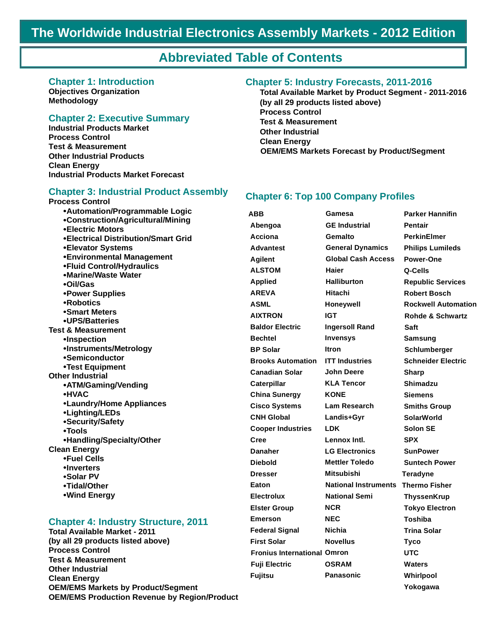## **The Worldwide Industrial Electronics Assembly Markets - 2012 Edition**

### **Abbreviated Table of Contents**

#### **Chapter 1: Introduction**

**Objectives Organization Methodology**

#### **Chapter 2: Executive Summary**

**Industrial Products Market Process Control Test & Measurement Other Industrial Products Clean Energy Industrial Products Market Forecast**

#### **Chapter 3: Industrial Product Assembly**

**Process Control Automation/Programmable Logic Construction/Agricultural/Mining Electric Motors Electrical Distribution/Smart Grid Elevator Systems Environmental Management Fluid Control/Hydraulics Marine/Waste Water Oil/Gas Power Supplies Robotics Smart Meters UPS/Batteries Test & Measurement**  $•$ **Inspection Instruments/Metrology Semiconductor Test Equipment Other Industrial ATM/Gaming/Vending HVAC Laundry/Home Appliances Lighting/LEDs Security/Safety Tools Handling/Specialty/Other Clean Energy Fuel Cells Inverters Solar PV Tidal/Other Wind Energy**

#### **Chapter 4: Industry Structure, 2011**

**Total Available Market - 2011 (by all 29 products listed above) Process Control Test & Measurement Other Industrial Clean Energy OEM/EMS Markets by Product/Segment OEM/EMS Production Revenue by Region/Product**

#### **Chapter 5: Industry Forecasts, 2011-2016**

**Total Available Market by Product Segment - 2011-2016 (by all 29 products listed above) Process Control Test & Measurement Other Industrial Clean Energy OEM/EMS Markets Forecast by Product/Segment**

#### **Chapter 6: Top 100 Company Profiles**

**ABB Abengoa Acciona Advantest Agilent ALSTOM Applied AREVA ASML AIXTRON Baldor Electric Bechtel BP Solar Brooks Automation Canadian Solar Caterpillar China Sunergy Cisco Systems CNH Global Cooper Industries Cree Danaher Diebold Dresser Eaton Electrolux Elster Group Emerson Federal Signal First Solar Fronius International Omron Fuji Electric Fujitsu** 

**Gamesa GE Industrial Gemalto General Dynamics Global Cash Access Haier Halliburton Hitachi Honeywell IGT Ingersoll Rand Invensys Itron ITT Industries John Deere KLA Tencor KONE Lam Research Landis+Gyr LDK Lennox Intl. LG Electronics Mettler Toledo Mitsubishi National Instruments National Semi NCR NEC Nichia Novellus OSRAM Panasonic** 

 **Parker Hannifin Pentair PerkinElmer Philips Lumileds Power-One Q-Cells Republic Services Robert Bosch Rockwell Automation Rohde & Schwartz Saft Samsung Schlumberger Schneider Electric Sharp Shimadzu Siemens Smiths Group SolarWorld Solon SE SPX SunPower Suntech Power Teradyne Thermo Fisher ThyssenKrup Tokyo Electron Toshiba Trina Solar Tyco UTC Waters Whirlpool Yokogawa**